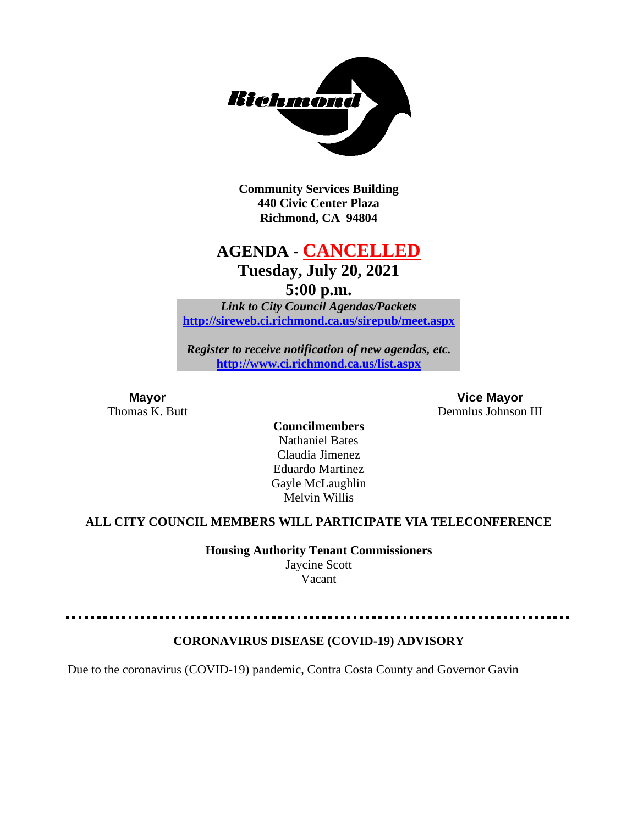

**Community Services Building 440 Civic Center Plaza Richmond, CA 94804**

# **AGENDA - CANCELLED Tuesday, July 20, 2021**

**5:00 p.m.**

*Link to City Council Agendas/Packets* **<http://sireweb.ci.richmond.ca.us/sirepub/meet.aspx>**

*Register to receive notification of new agendas, etc.* **<http://www.ci.richmond.ca.us/list.aspx>**

**Mayor Vice Mayor** Thomas K. Butt **Demnlus Johnson III** 

**Councilmembers** Nathaniel Bates Claudia Jimenez Eduardo Martinez Gayle McLaughlin Melvin Willis

#### **ALL CITY COUNCIL MEMBERS WILL PARTICIPATE VIA TELECONFERENCE**

**Housing Authority Tenant Commissioners** Jaycine Scott

Vacant

. . . . . . . . . . . . . . . . . .

### **CORONAVIRUS DISEASE (COVID-19) ADVISORY**

Due to the coronavirus (COVID-19) pandemic, Contra Costa County and Governor Gavin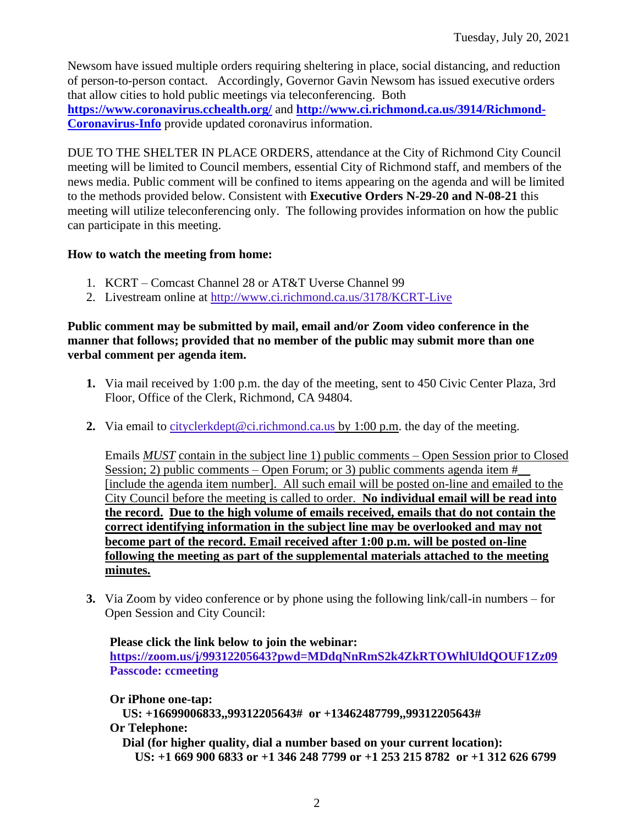Newsom have issued multiple orders requiring sheltering in place, social distancing, and reduction of person-to-person contact. Accordingly, Governor Gavin Newsom has issued executive orders that allow cities to hold public meetings via teleconferencing. Both **<https://www.coronavirus.cchealth.org/>** and **[http://www.ci.richmond.ca.us/3914/Richmond-](http://www.ci.richmond.ca.us/3914/Richmond-Coronavirus-Info)[Coronavirus-Info](http://www.ci.richmond.ca.us/3914/Richmond-Coronavirus-Info)** provide updated coronavirus information.

DUE TO THE SHELTER IN PLACE ORDERS, attendance at the City of Richmond City Council meeting will be limited to Council members, essential City of Richmond staff, and members of the news media. Public comment will be confined to items appearing on the agenda and will be limited to the methods provided below. Consistent with **Executive Orders N-29-20 and N-08-21** this meeting will utilize teleconferencing only. The following provides information on how the public can participate in this meeting.

### **How to watch the meeting from home:**

- 1. KCRT Comcast Channel 28 or AT&T Uverse Channel 99
- 2. Livestream online at<http://www.ci.richmond.ca.us/3178/KCRT-Live>

### **Public comment may be submitted by mail, email and/or Zoom video conference in the manner that follows; provided that no member of the public may submit more than one verbal comment per agenda item.**

- **1.** Via mail received by 1:00 p.m. the day of the meeting, sent to 450 Civic Center Plaza, 3rd Floor, Office of the Clerk, Richmond, CA 94804.
- **2.** Via email to [cityclerkdept@ci.richmond.ca.us](mailto:cityclerkdept@ci.richmond.ca.us) by 1:00 p.m. the day of the meeting.

Emails *MUST* contain in the subject line 1) public comments – Open Session prior to Closed Session; 2) public comments – Open Forum; or 3) public comments agenda item  $#$ [include the agenda item number]. All such email will be posted on-line and emailed to the City Council before the meeting is called to order. **No individual email will be read into the record. Due to the high volume of emails received, emails that do not contain the correct identifying information in the subject line may be overlooked and may not become part of the record. Email received after 1:00 p.m. will be posted on-line following the meeting as part of the supplemental materials attached to the meeting minutes.**

**3.** Via Zoom by video conference or by phone using the following link/call-in numbers – for Open Session and City Council:

### **Please click the link below to join the webinar:**

**<https://zoom.us/j/99312205643?pwd=MDdqNnRmS2k4ZkRTOWhlUldQOUF1Zz09> Passcode: ccmeeting**

**Or iPhone one-tap:**

**US: +16699006833,,99312205643# or +13462487799,,99312205643# Or Telephone:**

**Dial (for higher quality, dial a number based on your current location): US: +1 669 900 6833 or +1 346 248 7799 or +1 253 215 8782 or +1 312 626 6799**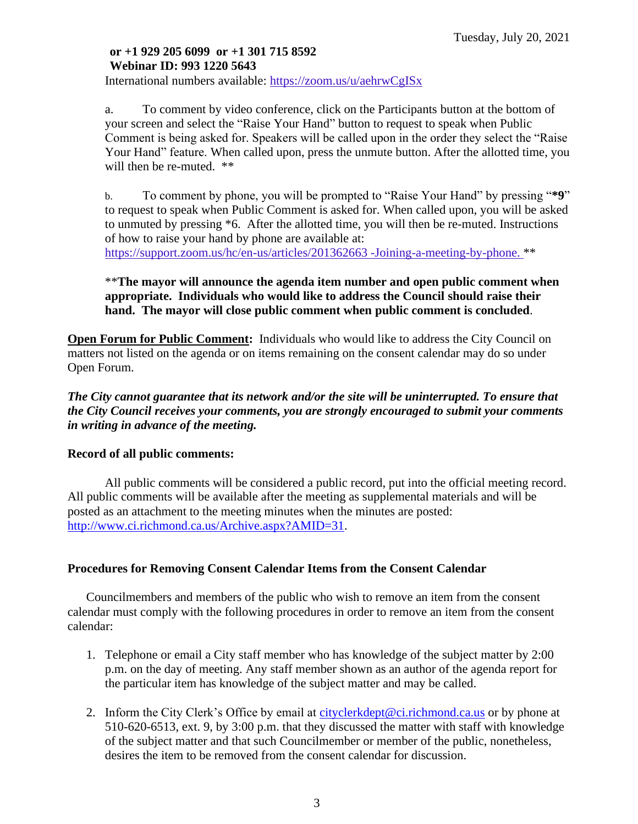# **or +1 929 205 6099 or +1 301 715 8592 Webinar ID: 993 1220 5643**

International numbers available: <https://zoom.us/u/aehrwCgISx>

a. To comment by video conference, click on the Participants button at the bottom of your screen and select the "Raise Your Hand" button to request to speak when Public Comment is being asked for. Speakers will be called upon in the order they select the "Raise Your Hand" feature. When called upon, press the unmute button. After the allotted time, you will then be re-muted.  $**$ 

b. To comment by phone, you will be prompted to "Raise Your Hand" by pressing "**\*9**" to request to speak when Public Comment is asked for. When called upon, you will be asked to unmuted by pressing \*6. After the allotted time, you will then be re-muted. Instructions of how to raise your hand by phone are available at: [https://support.zoom.us/hc/en-us/articles/201362663 -Joining-a-meeting-by-phone.](https://support.zoom.us/hc/en-us/articles/201362663) \*\*

### \*\***The mayor will announce the agenda item number and open public comment when appropriate. Individuals who would like to address the Council should raise their hand. The mayor will close public comment when public comment is concluded**.

**Open Forum for Public Comment:** Individuals who would like to address the City Council on matters not listed on the agenda or on items remaining on the consent calendar may do so under Open Forum.

*The City cannot guarantee that its network and/or the site will be uninterrupted. To ensure that the City Council receives your comments, you are strongly encouraged to submit your comments in writing in advance of the meeting.* 

### **Record of all public comments:**

All public comments will be considered a public record, put into the official meeting record. All public comments will be available after the meeting as supplemental materials and will be posted as an attachment to the meeting minutes when the minutes are posted: [http://www.ci.richmond.ca.us/Archive.aspx?AMID=31.](http://www.ci.richmond.ca.us/Archive.aspx?AMID=31)

# **Procedures for Removing Consent Calendar Items from the Consent Calendar**

Councilmembers and members of the public who wish to remove an item from the consent calendar must comply with the following procedures in order to remove an item from the consent calendar:

- 1. Telephone or email a City staff member who has knowledge of the subject matter by 2:00 p.m. on the day of meeting. Any staff member shown as an author of the agenda report for the particular item has knowledge of the subject matter and may be called.
- 2. Inform the City Clerk's Office by email at [cityclerkdept@ci.richmond.ca.us](mailto:cityclerkdept@ci.richmond.ca.us) or by phone at 510-620-6513, ext. 9, by 3:00 p.m. that they discussed the matter with staff with knowledge of the subject matter and that such Councilmember or member of the public, nonetheless, desires the item to be removed from the consent calendar for discussion.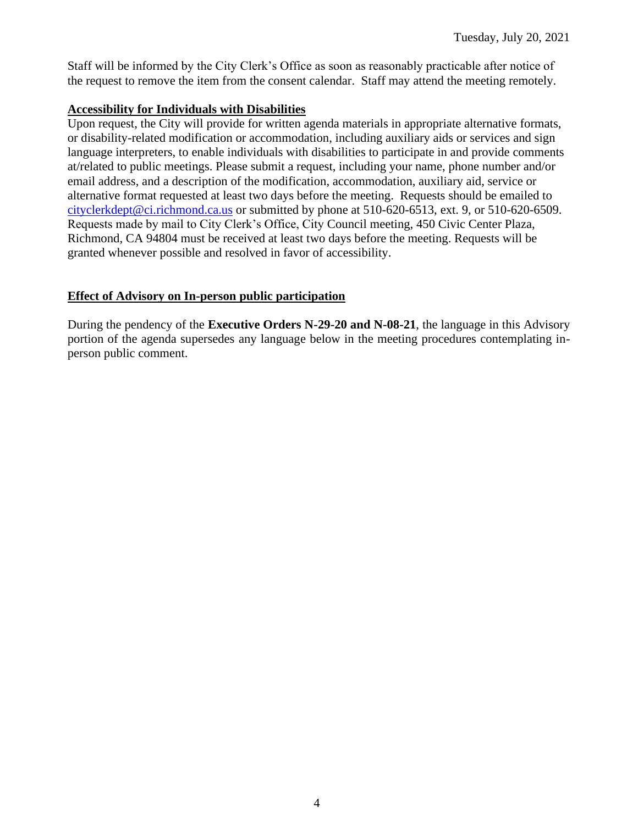Staff will be informed by the City Clerk's Office as soon as reasonably practicable after notice of the request to remove the item from the consent calendar. Staff may attend the meeting remotely.

### **Accessibility for Individuals with Disabilities**

Upon request, the City will provide for written agenda materials in appropriate alternative formats, or disability-related modification or accommodation, including auxiliary aids or services and sign language interpreters, to enable individuals with disabilities to participate in and provide comments at/related to public meetings. Please submit a request, including your name, phone number and/or email address, and a description of the modification, accommodation, auxiliary aid, service or alternative format requested at least two days before the meeting. Requests should be emailed to [cityclerkdept@ci.richmond.ca.us](mailto:cityclerkdept@ci.richmond.ca.us) or submitted by phone at 510-620-6513, ext. 9, or 510-620-6509. Requests made by mail to City Clerk's Office, City Council meeting, 450 Civic Center Plaza, Richmond, CA 94804 must be received at least two days before the meeting. Requests will be granted whenever possible and resolved in favor of accessibility.

### **Effect of Advisory on In-person public participation**

During the pendency of the **Executive Orders N-29-20 and N-08-21**, the language in this Advisory portion of the agenda supersedes any language below in the meeting procedures contemplating inperson public comment.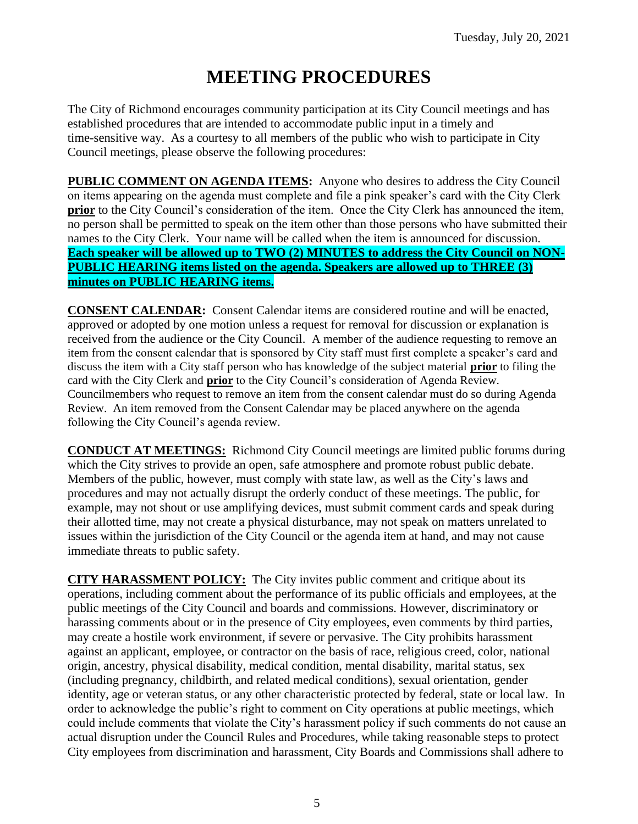# **MEETING PROCEDURES**

The City of Richmond encourages community participation at its City Council meetings and has established procedures that are intended to accommodate public input in a timely and time-sensitive way. As a courtesy to all members of the public who wish to participate in City Council meetings, please observe the following procedures:

**PUBLIC COMMENT ON AGENDA ITEMS:** Anyone who desires to address the City Council on items appearing on the agenda must complete and file a pink speaker's card with the City Clerk **prior** to the City Council's consideration of the item. Once the City Clerk has announced the item, no person shall be permitted to speak on the item other than those persons who have submitted their names to the City Clerk. Your name will be called when the item is announced for discussion. **Each speaker will be allowed up to TWO (2) MINUTES to address the City Council on NON-PUBLIC HEARING items listed on the agenda. Speakers are allowed up to THREE (3) minutes on PUBLIC HEARING items.**

**CONSENT CALENDAR:** Consent Calendar items are considered routine and will be enacted, approved or adopted by one motion unless a request for removal for discussion or explanation is received from the audience or the City Council. A member of the audience requesting to remove an item from the consent calendar that is sponsored by City staff must first complete a speaker's card and discuss the item with a City staff person who has knowledge of the subject material **prior** to filing the card with the City Clerk and **prior** to the City Council's consideration of Agenda Review. Councilmembers who request to remove an item from the consent calendar must do so during Agenda Review. An item removed from the Consent Calendar may be placed anywhere on the agenda following the City Council's agenda review.

**CONDUCT AT MEETINGS:** Richmond City Council meetings are limited public forums during which the City strives to provide an open, safe atmosphere and promote robust public debate. Members of the public, however, must comply with state law, as well as the City's laws and procedures and may not actually disrupt the orderly conduct of these meetings. The public, for example, may not shout or use amplifying devices, must submit comment cards and speak during their allotted time, may not create a physical disturbance, may not speak on matters unrelated to issues within the jurisdiction of the City Council or the agenda item at hand, and may not cause immediate threats to public safety.

**CITY HARASSMENT POLICY:** The City invites public comment and critique about its operations, including comment about the performance of its public officials and employees, at the public meetings of the City Council and boards and commissions. However, discriminatory or harassing comments about or in the presence of City employees, even comments by third parties, may create a hostile work environment, if severe or pervasive. The City prohibits harassment against an applicant, employee, or contractor on the basis of race, religious creed, color, national origin, ancestry, physical disability, medical condition, mental disability, marital status, sex (including pregnancy, childbirth, and related medical conditions), sexual orientation, gender identity, age or veteran status, or any other characteristic protected by federal, state or local law. In order to acknowledge the public's right to comment on City operations at public meetings, which could include comments that violate the City's harassment policy if such comments do not cause an actual disruption under the Council Rules and Procedures, while taking reasonable steps to protect City employees from discrimination and harassment, City Boards and Commissions shall adhere to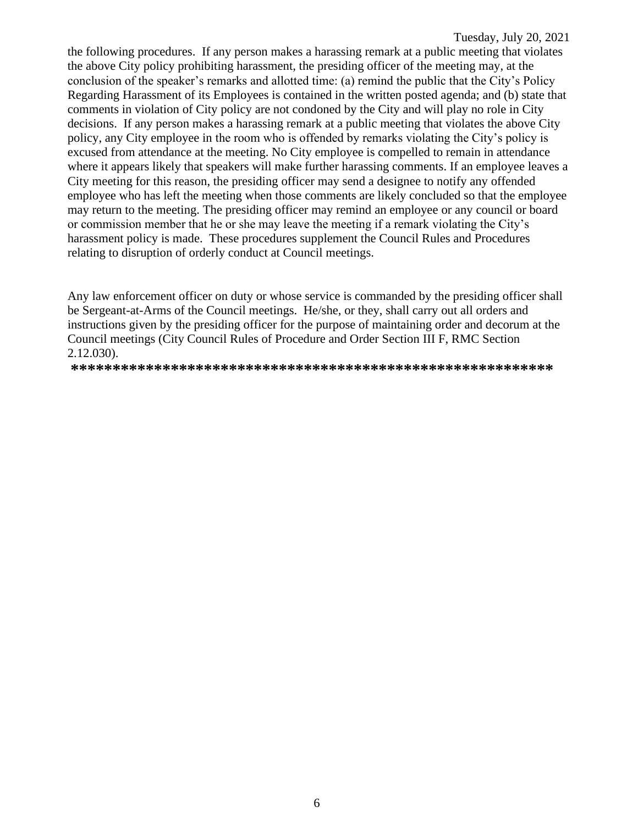the following procedures. If any person makes a harassing remark at a public meeting that violates the above City policy prohibiting harassment, the presiding officer of the meeting may, at the conclusion of the speaker's remarks and allotted time: (a) remind the public that the City's Policy Regarding Harassment of its Employees is contained in the written posted agenda; and (b) state that comments in violation of City policy are not condoned by the City and will play no role in City decisions. If any person makes a harassing remark at a public meeting that violates the above City policy, any City employee in the room who is offended by remarks violating the City's policy is excused from attendance at the meeting. No City employee is compelled to remain in attendance where it appears likely that speakers will make further harassing comments. If an employee leaves a City meeting for this reason, the presiding officer may send a designee to notify any offended employee who has left the meeting when those comments are likely concluded so that the employee may return to the meeting. The presiding officer may remind an employee or any council or board or commission member that he or she may leave the meeting if a remark violating the City's harassment policy is made. These procedures supplement the Council Rules and Procedures relating to disruption of orderly conduct at Council meetings.

Any law enforcement officer on duty or whose service is commanded by the presiding officer shall be Sergeant-at-Arms of the Council meetings. He/she, or they, shall carry out all orders and instructions given by the presiding officer for the purpose of maintaining order and decorum at the Council meetings (City Council Rules of Procedure and Order Section III F, RMC Section 2.12.030).

**\*\*\*\*\*\*\*\*\*\*\*\*\*\*\*\*\*\*\*\*\*\*\*\*\*\*\*\*\*\*\*\*\*\*\*\*\*\*\*\*\*\*\*\*\*\*\*\*\*\*\*\*\*\*\*\*\*\***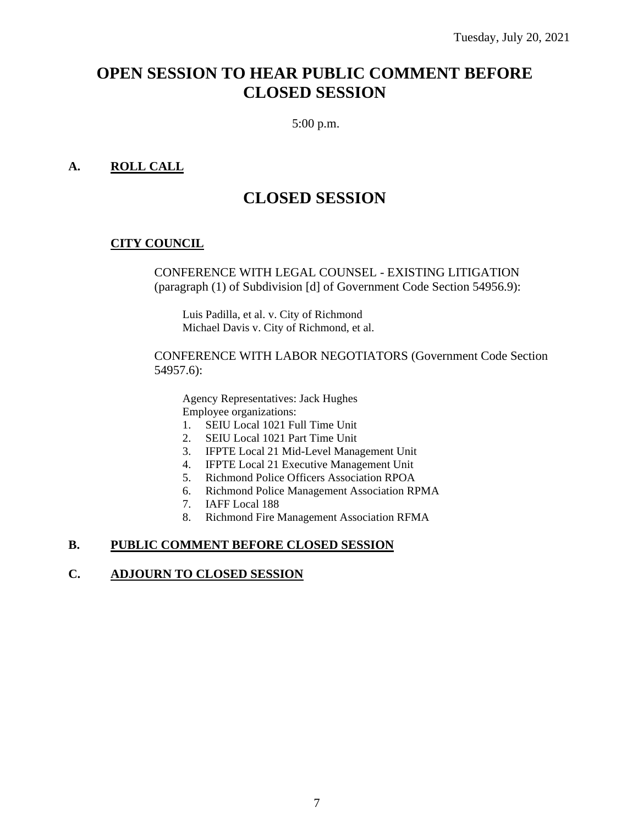# **OPEN SESSION TO HEAR PUBLIC COMMENT BEFORE CLOSED SESSION**

5:00 p.m.

## **A. ROLL CALL**

# **CLOSED SESSION**

### **CITY COUNCIL**

CONFERENCE WITH LEGAL COUNSEL - EXISTING LITIGATION (paragraph (1) of Subdivision [d] of Government Code Section 54956.9):

Luis Padilla, et al. v. City of Richmond Michael Davis v. City of Richmond, et al.

CONFERENCE WITH LABOR NEGOTIATORS (Government Code Section 54957.6):

Agency Representatives: Jack Hughes Employee organizations:

- 1. SEIU Local 1021 Full Time Unit
- 2. SEIU Local 1021 Part Time Unit
- 3. IFPTE Local 21 Mid-Level Management Unit
- 4. IFPTE Local 21 Executive Management Unit
- 5. Richmond Police Officers Association RPOA
- 6. Richmond Police Management Association RPMA
- 7. IAFF Local 188
- 8. Richmond Fire Management Association RFMA

### **B. PUBLIC COMMENT BEFORE CLOSED SESSION**

#### **C. ADJOURN TO CLOSED SESSION**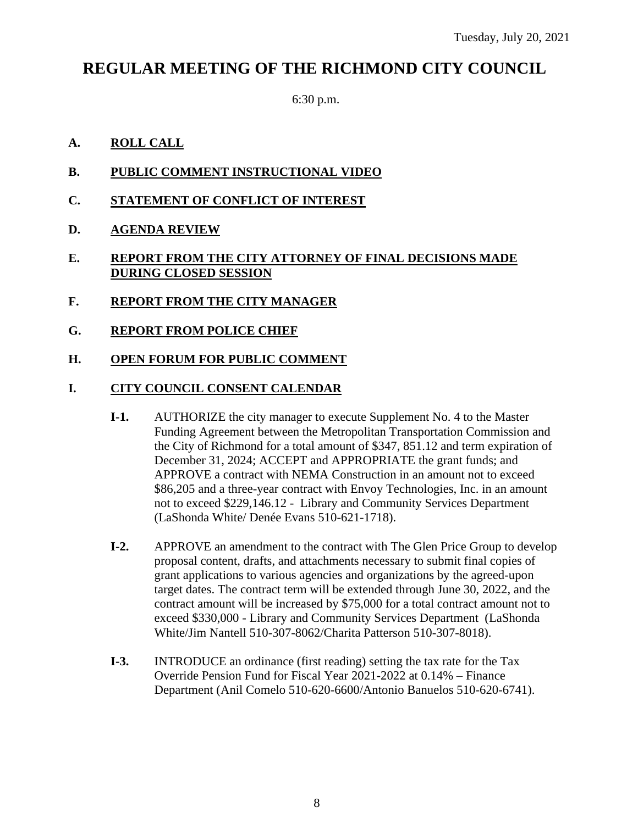# **REGULAR MEETING OF THE RICHMOND CITY COUNCIL**

6:30 p.m.

- **A. ROLL CALL**
- **B. PUBLIC COMMENT INSTRUCTIONAL VIDEO**
- **C. STATEMENT OF CONFLICT OF INTEREST**
- **D. AGENDA REVIEW**
- **E. REPORT FROM THE CITY ATTORNEY OF FINAL DECISIONS MADE DURING CLOSED SESSION**
- **F. REPORT FROM THE CITY MANAGER**
- **G. REPORT FROM POLICE CHIEF**
- **H. OPEN FORUM FOR PUBLIC COMMENT**

### **I. CITY COUNCIL CONSENT CALENDAR**

- **I-1.** AUTHORIZE the city manager to execute Supplement No. 4 to the Master Funding Agreement between the Metropolitan Transportation Commission and the City of Richmond for a total amount of \$347, 851.12 and term expiration of December 31, 2024; ACCEPT and APPROPRIATE the grant funds; and APPROVE a contract with NEMA Construction in an amount not to exceed \$86,205 and a three-year contract with Envoy Technologies, Inc. in an amount not to exceed \$229,146.12 - Library and Community Services Department (LaShonda White/ Denée Evans 510-621-1718).
- **I-2.** APPROVE an amendment to the contract with The Glen Price Group to develop proposal content, drafts, and attachments necessary to submit final copies of grant applications to various agencies and organizations by the agreed-upon target dates. The contract term will be extended through June 30, 2022, and the contract amount will be increased by \$75,000 for a total contract amount not to exceed \$330,000 - Library and Community Services Department (LaShonda White/Jim Nantell 510-307-8062/Charita Patterson 510-307-8018).
- **I-3.** INTRODUCE an ordinance (first reading) setting the tax rate for the Tax Override Pension Fund for Fiscal Year 2021-2022 at 0.14% – Finance Department (Anil Comelo 510-620-6600/Antonio Banuelos 510-620-6741).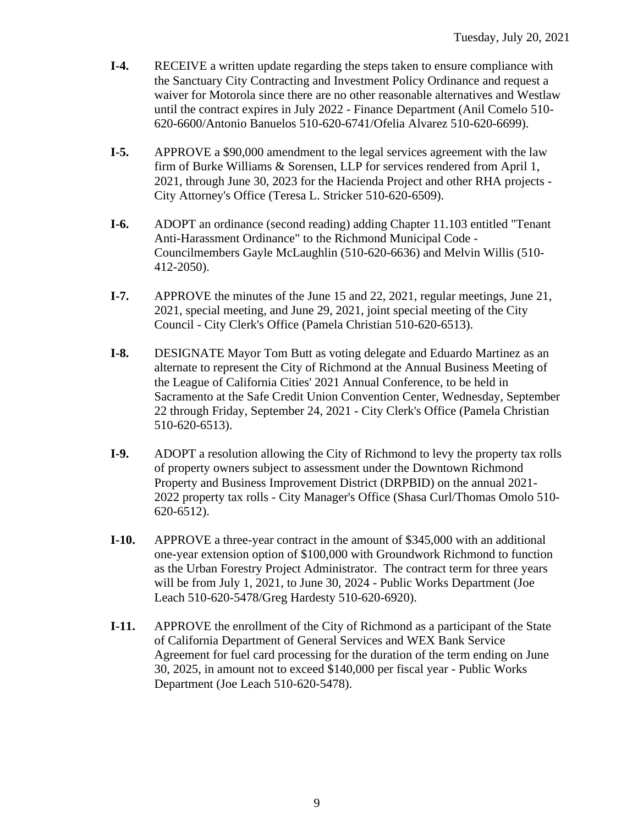- **I-4.** RECEIVE a written update regarding the steps taken to ensure compliance with the Sanctuary City Contracting and Investment Policy Ordinance and request a waiver for Motorola since there are no other reasonable alternatives and Westlaw until the contract expires in July 2022 - Finance Department (Anil Comelo 510- 620-6600/Antonio Banuelos 510-620-6741/Ofelia Alvarez 510-620-6699).
- **I-5.** APPROVE a \$90,000 amendment to the legal services agreement with the law firm of Burke Williams & Sorensen, LLP for services rendered from April 1, 2021, through June 30, 2023 for the Hacienda Project and other RHA projects - City Attorney's Office (Teresa L. Stricker 510-620-6509).
- **I-6.** ADOPT an ordinance (second reading) adding Chapter 11.103 entitled "Tenant Anti-Harassment Ordinance" to the Richmond Municipal Code - Councilmembers Gayle McLaughlin (510-620-6636) and Melvin Willis (510- 412-2050).
- **I-7.** APPROVE the minutes of the June 15 and 22, 2021, regular meetings, June 21, 2021, special meeting, and June 29, 2021, joint special meeting of the City Council - City Clerk's Office (Pamela Christian 510-620-6513).
- **I-8.** DESIGNATE Mayor Tom Butt as voting delegate and Eduardo Martinez as an alternate to represent the City of Richmond at the Annual Business Meeting of the League of California Cities' 2021 Annual Conference, to be held in Sacramento at the Safe Credit Union Convention Center, Wednesday, September 22 through Friday, September 24, 2021 - City Clerk's Office (Pamela Christian 510-620-6513).
- **I-9.** ADOPT a resolution allowing the City of Richmond to levy the property tax rolls of property owners subject to assessment under the Downtown Richmond Property and Business Improvement District (DRPBID) on the annual 2021- 2022 property tax rolls - City Manager's Office (Shasa Curl/Thomas Omolo 510- 620-6512).
- **I-10.** APPROVE a three-year contract in the amount of \$345,000 with an additional one-year extension option of \$100,000 with Groundwork Richmond to function as the Urban Forestry Project Administrator. The contract term for three years will be from July 1, 2021, to June 30, 2024 - Public Works Department (Joe Leach 510-620-5478/Greg Hardesty 510-620-6920).
- **I-11.** APPROVE the enrollment of the City of Richmond as a participant of the State of California Department of General Services and WEX Bank Service Agreement for fuel card processing for the duration of the term ending on June 30, 2025, in amount not to exceed \$140,000 per fiscal year - Public Works Department (Joe Leach 510-620-5478).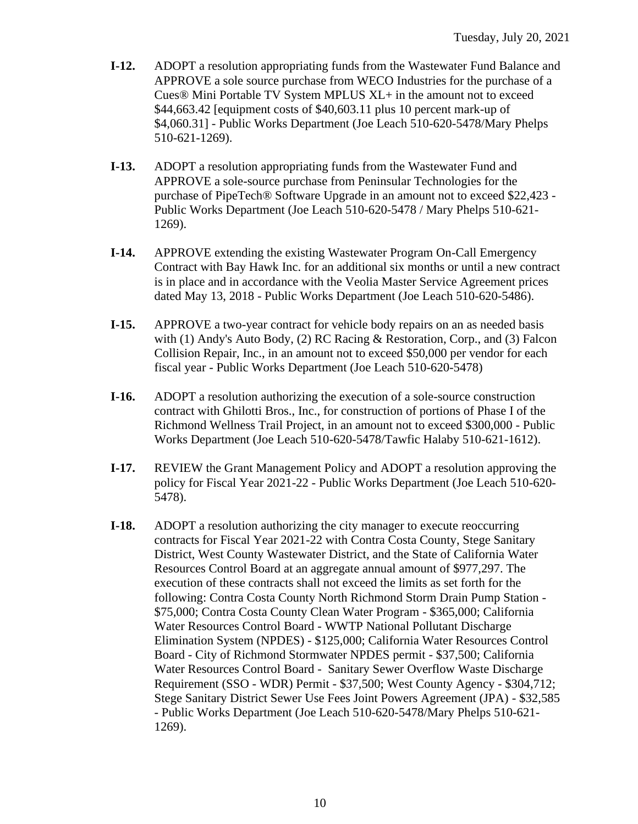- **I-12.** ADOPT a resolution appropriating funds from the Wastewater Fund Balance and APPROVE a sole source purchase from WECO Industries for the purchase of a Cues® Mini Portable TV System MPLUS XL+ in the amount not to exceed \$44,663.42 [equipment costs of \$40,603.11 plus 10 percent mark-up of \$4,060.31] - Public Works Department (Joe Leach 510-620-5478/Mary Phelps 510-621-1269).
- **I-13.** ADOPT a resolution appropriating funds from the Wastewater Fund and APPROVE a sole-source purchase from Peninsular Technologies for the purchase of PipeTech® Software Upgrade in an amount not to exceed \$22,423 - Public Works Department (Joe Leach 510-620-5478 / Mary Phelps 510-621- 1269).
- **I-14.** APPROVE extending the existing Wastewater Program On-Call Emergency Contract with Bay Hawk Inc. for an additional six months or until a new contract is in place and in accordance with the Veolia Master Service Agreement prices dated May 13, 2018 - Public Works Department (Joe Leach 510-620-5486).
- **I-15.** APPROVE a two-year contract for vehicle body repairs on an as needed basis with (1) Andy's Auto Body, (2) RC Racing & Restoration, Corp., and (3) Falcon Collision Repair, Inc., in an amount not to exceed \$50,000 per vendor for each fiscal year - Public Works Department (Joe Leach 510-620-5478)
- **I-16.** ADOPT a resolution authorizing the execution of a sole-source construction contract with Ghilotti Bros., Inc., for construction of portions of Phase I of the Richmond Wellness Trail Project, in an amount not to exceed \$300,000 - Public Works Department (Joe Leach 510-620-5478/Tawfic Halaby 510-621-1612).
- **I-17.** REVIEW the Grant Management Policy and ADOPT a resolution approving the policy for Fiscal Year 2021-22 - Public Works Department (Joe Leach 510-620- 5478).
- **I-18.** ADOPT a resolution authorizing the city manager to execute reoccurring contracts for Fiscal Year 2021-22 with Contra Costa County, Stege Sanitary District, West County Wastewater District, and the State of California Water Resources Control Board at an aggregate annual amount of \$977,297. The execution of these contracts shall not exceed the limits as set forth for the following: Contra Costa County North Richmond Storm Drain Pump Station - \$75,000; Contra Costa County Clean Water Program - \$365,000; California Water Resources Control Board - WWTP National Pollutant Discharge Elimination System (NPDES) - \$125,000; California Water Resources Control Board - City of Richmond Stormwater NPDES permit - \$37,500; California Water Resources Control Board - Sanitary Sewer Overflow Waste Discharge Requirement (SSO - WDR) Permit - \$37,500; West County Agency - \$304,712; Stege Sanitary District Sewer Use Fees Joint Powers Agreement (JPA) - \$32,585 - Public Works Department (Joe Leach 510-620-5478/Mary Phelps 510-621- 1269).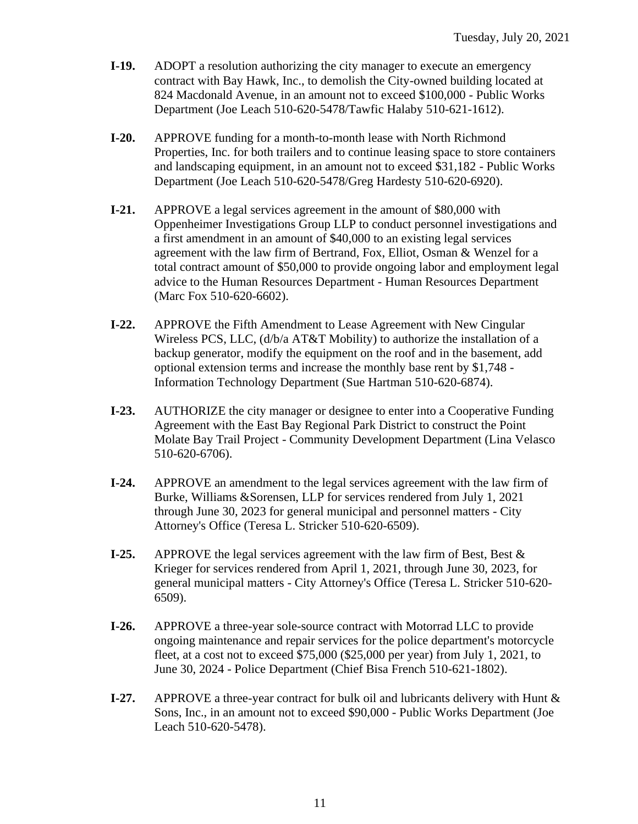- **I-19.** ADOPT a resolution authorizing the city manager to execute an emergency contract with Bay Hawk, Inc., to demolish the City-owned building located at 824 Macdonald Avenue, in an amount not to exceed \$100,000 - Public Works Department (Joe Leach 510-620-5478/Tawfic Halaby 510-621-1612).
- **I-20.** APPROVE funding for a month-to-month lease with North Richmond Properties, Inc. for both trailers and to continue leasing space to store containers and landscaping equipment, in an amount not to exceed \$31,182 - Public Works Department (Joe Leach 510-620-5478/Greg Hardesty 510-620-6920).
- **I-21.** APPROVE a legal services agreement in the amount of \$80,000 with Oppenheimer Investigations Group LLP to conduct personnel investigations and a first amendment in an amount of \$40,000 to an existing legal services agreement with the law firm of Bertrand, Fox, Elliot, Osman & Wenzel for a total contract amount of \$50,000 to provide ongoing labor and employment legal advice to the Human Resources Department - Human Resources Department (Marc Fox 510-620-6602).
- **I-22.** APPROVE the Fifth Amendment to Lease Agreement with New Cingular Wireless PCS, LLC, (d/b/a AT&T Mobility) to authorize the installation of a backup generator, modify the equipment on the roof and in the basement, add optional extension terms and increase the monthly base rent by \$1,748 - Information Technology Department (Sue Hartman 510-620-6874).
- **I-23.** AUTHORIZE the city manager or designee to enter into a Cooperative Funding Agreement with the East Bay Regional Park District to construct the Point Molate Bay Trail Project - Community Development Department (Lina Velasco 510-620-6706).
- **I-24.** APPROVE an amendment to the legal services agreement with the law firm of Burke, Williams &Sorensen, LLP for services rendered from July 1, 2021 through June 30, 2023 for general municipal and personnel matters - City Attorney's Office (Teresa L. Stricker 510-620-6509).
- **I-25.** APPROVE the legal services agreement with the law firm of Best, Best & Krieger for services rendered from April 1, 2021, through June 30, 2023, for general municipal matters - City Attorney's Office (Teresa L. Stricker 510-620- 6509).
- **I-26.** APPROVE a three-year sole-source contract with Motorrad LLC to provide ongoing maintenance and repair services for the police department's motorcycle fleet, at a cost not to exceed \$75,000 (\$25,000 per year) from July 1, 2021, to June 30, 2024 - Police Department (Chief Bisa French 510-621-1802).
- **I-27.** APPROVE a three-year contract for bulk oil and lubricants delivery with Hunt & Sons, Inc., in an amount not to exceed \$90,000 - Public Works Department (Joe Leach 510-620-5478).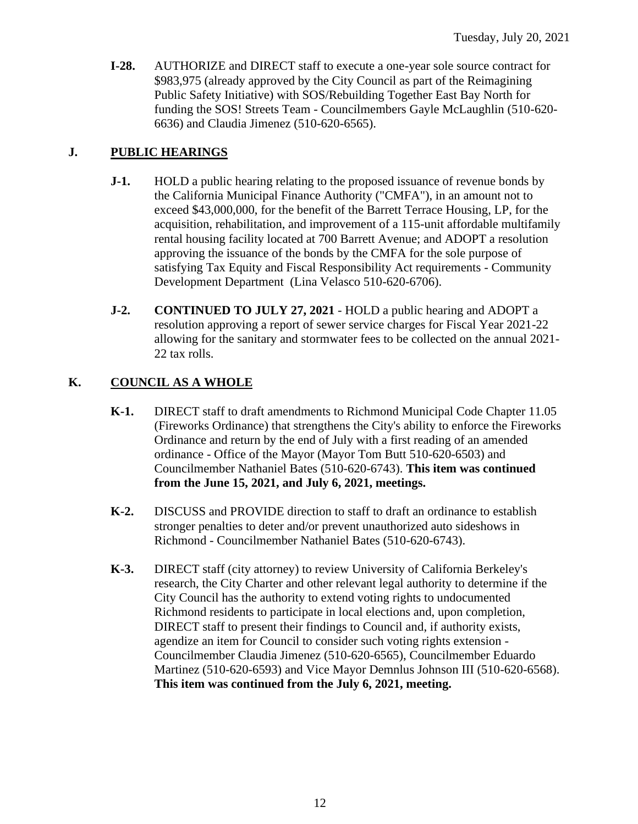**I-28.** AUTHORIZE and DIRECT staff to execute a one-year sole source contract for \$983,975 (already approved by the City Council as part of the Reimagining Public Safety Initiative) with SOS/Rebuilding Together East Bay North for funding the SOS! Streets Team - Councilmembers Gayle McLaughlin (510-620- 6636) and Claudia Jimenez (510-620-6565).

# **J. PUBLIC HEARINGS**

- **J-1.** HOLD a public hearing relating to the proposed issuance of revenue bonds by the California Municipal Finance Authority ("CMFA"), in an amount not to exceed \$43,000,000, for the benefit of the Barrett Terrace Housing, LP, for the acquisition, rehabilitation, and improvement of a 115-unit affordable multifamily rental housing facility located at 700 Barrett Avenue; and ADOPT a resolution approving the issuance of the bonds by the CMFA for the sole purpose of satisfying Tax Equity and Fiscal Responsibility Act requirements - Community Development Department (Lina Velasco 510-620-6706).
- **J-2. CONTINUED TO JULY 27, 2021** HOLD a public hearing and ADOPT a resolution approving a report of sewer service charges for Fiscal Year 2021-22 allowing for the sanitary and stormwater fees to be collected on the annual 2021- 22 tax rolls.

# **K. COUNCIL AS A WHOLE**

- **K-1.** DIRECT staff to draft amendments to Richmond Municipal Code Chapter 11.05 (Fireworks Ordinance) that strengthens the City's ability to enforce the Fireworks Ordinance and return by the end of July with a first reading of an amended ordinance - Office of the Mayor (Mayor Tom Butt 510-620-6503) and Councilmember Nathaniel Bates (510-620-6743). **This item was continued from the June 15, 2021, and July 6, 2021, meetings.**
- **K-2.** DISCUSS and PROVIDE direction to staff to draft an ordinance to establish stronger penalties to deter and/or prevent unauthorized auto sideshows in Richmond - Councilmember Nathaniel Bates (510-620-6743).
- **K-3.** DIRECT staff (city attorney) to review University of California Berkeley's research, the City Charter and other relevant legal authority to determine if the City Council has the authority to extend voting rights to undocumented Richmond residents to participate in local elections and, upon completion, DIRECT staff to present their findings to Council and, if authority exists, agendize an item for Council to consider such voting rights extension - Councilmember Claudia Jimenez (510-620-6565), Councilmember Eduardo Martinez (510-620-6593) and Vice Mayor Demnlus Johnson III (510-620-6568). **This item was continued from the July 6, 2021, meeting.**